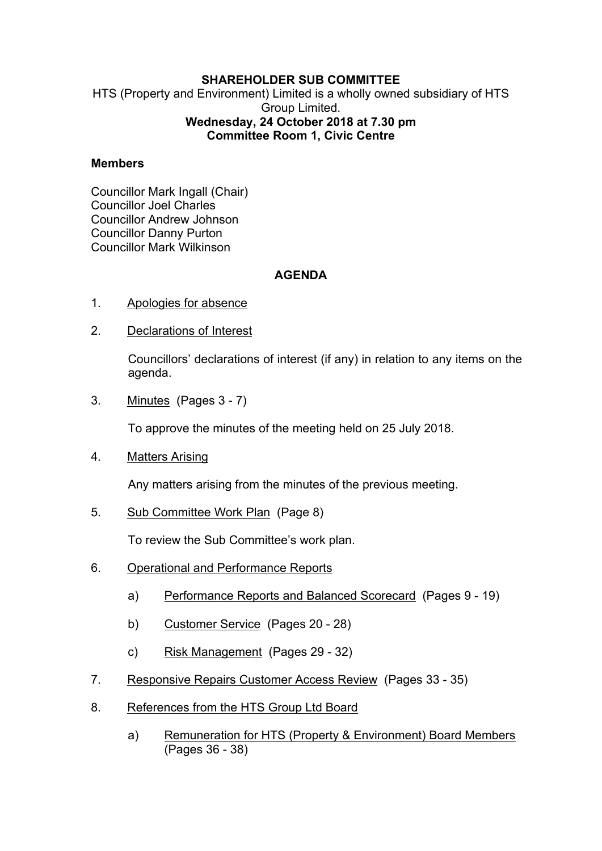## **SHAREHOLDER SUB COMMITTEE**

HTS (Property and Environment) Limited is a wholly owned subsidiary of HTS Group Limited. **Wednesday, 24 October 2018 at 7.30 pm Committee Room 1, Civic Centre**

## **Members**

Councillor Mark Ingall (Chair) Councillor Joel Charles Councillor Andrew Johnson Councillor Danny Purton Councillor Mark Wilkinson

## **AGENDA**

- 1. Apologies for absence
- 2. Declarations of Interest

Councillors' declarations of interest (if any) in relation to any items on the agenda.

3. Minutes(Pages 3 - 7)

To approve the minutes of the meeting held on 25 July 2018.

4. Matters Arising

Any matters arising from the minutes of the previous meeting.

5. Sub Committee Work Plan(Page 8)

To review the Sub Committee's work plan.

- 6. Operational and Performance Reports
	- a) Performance Reports and Balanced Scorecard (Pages 9 19)
	- b) Customer Service (Pages 20 28)
	- c) Risk Management (Pages 29 32)
- 7. Responsive Repairs Customer Access Review(Pages 33 35)
- 8. References from the HTS Group Ltd Board
	- a) Remuneration for HTS (Property & Environment) Board Members (Pages 36 - 38)